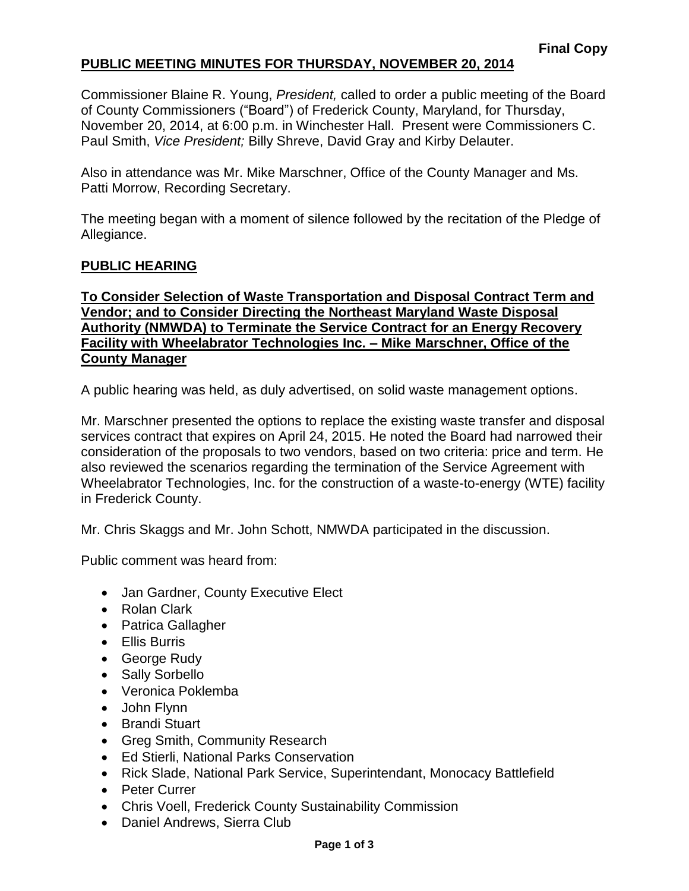## **PUBLIC MEETING MINUTES FOR THURSDAY, NOVEMBER 20, 2014**

Commissioner Blaine R. Young, *President,* called to order a public meeting of the Board of County Commissioners ("Board") of Frederick County, Maryland, for Thursday, November 20, 2014, at 6:00 p.m. in Winchester Hall. Present were Commissioners C. Paul Smith, *Vice President;* Billy Shreve, David Gray and Kirby Delauter.

Also in attendance was Mr. Mike Marschner, Office of the County Manager and Ms. Patti Morrow, Recording Secretary.

The meeting began with a moment of silence followed by the recitation of the Pledge of Allegiance.

#### **PUBLIC HEARING**

#### **To Consider Selection of Waste Transportation and Disposal Contract Term and Vendor; and to Consider Directing the Northeast Maryland Waste Disposal Authority (NMWDA) to Terminate the Service Contract for an Energy Recovery Facility with Wheelabrator Technologies Inc. – Mike Marschner, Office of the County Manager**

A public hearing was held, as duly advertised, on solid waste management options.

Mr. Marschner presented the options to replace the existing waste transfer and disposal services contract that expires on April 24, 2015. He noted the Board had narrowed their consideration of the proposals to two vendors, based on two criteria: price and term. He also reviewed the scenarios regarding the termination of the Service Agreement with Wheelabrator Technologies, Inc. for the construction of a waste-to-energy (WTE) facility in Frederick County.

Mr. Chris Skaggs and Mr. John Schott, NMWDA participated in the discussion.

Public comment was heard from:

- Jan Gardner, County Executive Elect
- Rolan Clark
- Patrica Gallagher
- **•** Fllis Burris
- George Rudy
- Sally Sorbello
- Veronica Poklemba
- John Flynn
- Brandi Stuart
- Greg Smith, Community Research
- Ed Stierli, National Parks Conservation
- Rick Slade, National Park Service, Superintendant, Monocacy Battlefield
- Peter Currer
- Chris Voell, Frederick County Sustainability Commission
- Daniel Andrews, Sierra Club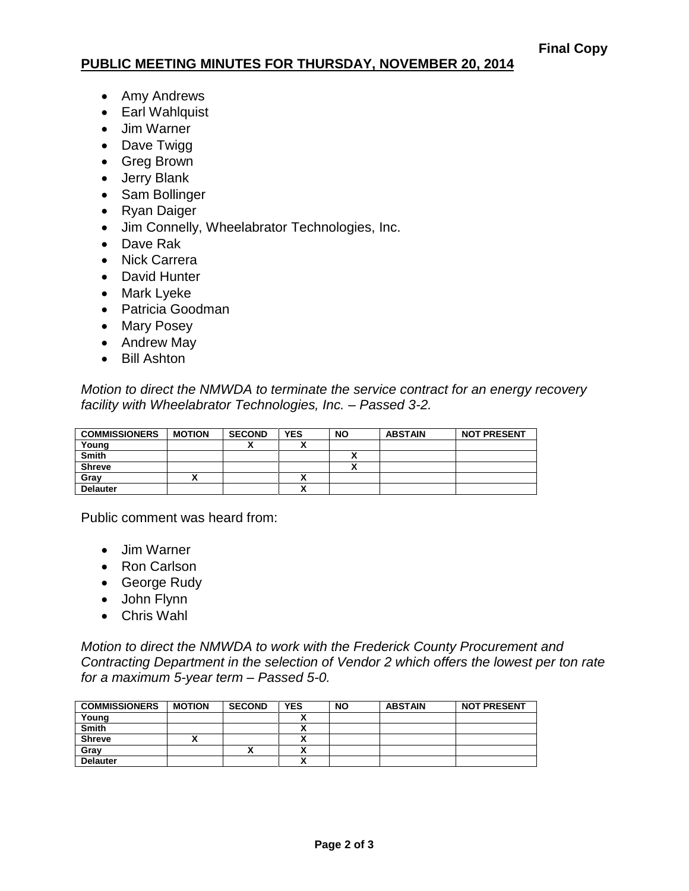### **PUBLIC MEETING MINUTES FOR THURSDAY, NOVEMBER 20, 2014**

- Amy Andrews
- Earl Wahlquist
- Jim Warner
- Dave Twigg
- Greg Brown
- Jerry Blank
- Sam Bollinger
- Ryan Daiger
- Jim Connelly, Wheelabrator Technologies, Inc.
- Dave Rak
- Nick Carrera
- David Hunter
- Mark Lyeke
- Patricia Goodman
- Mary Posey
- Andrew May
- Bill Ashton

*Motion to direct the NMWDA to terminate the service contract for an energy recovery facility with Wheelabrator Technologies, Inc. – Passed 3-2.*

| <b>COMMISSIONERS</b> | <b>MOTION</b> | <b>SECOND</b> | <b>YES</b> | <b>NO</b> | <b>ABSTAIN</b> | <b>NOT PRESENT</b> |
|----------------------|---------------|---------------|------------|-----------|----------------|--------------------|
| Young                |               |               |            |           |                |                    |
| <b>Smith</b>         |               |               |            |           |                |                    |
| <b>Shreve</b>        |               |               |            |           |                |                    |
| Grav                 |               |               |            |           |                |                    |
| <b>Delauter</b>      |               |               | ~          |           |                |                    |

Public comment was heard from:

- Jim Warner
- Ron Carlson
- George Rudy
- John Flynn
- Chris Wahl

*Motion to direct the NMWDA to work with the Frederick County Procurement and Contracting Department in the selection of Vendor 2 which offers the lowest per ton rate for a maximum 5-year term – Passed 5-0.*

| <b>COMMISSIONERS</b> | <b>MOTION</b> | <b>SECOND</b> | <b>YES</b>               | <b>NO</b> | <b>ABSTAIN</b> | <b>NOT PRESENT</b> |
|----------------------|---------------|---------------|--------------------------|-----------|----------------|--------------------|
| Young                |               |               |                          |           |                |                    |
| <b>Smith</b>         |               |               |                          |           |                |                    |
| <b>Shreve</b>        |               |               |                          |           |                |                    |
| Gray                 |               | Λ             |                          |           |                |                    |
| <b>Delauter</b>      |               |               | $\overline{\phantom{a}}$ |           |                |                    |